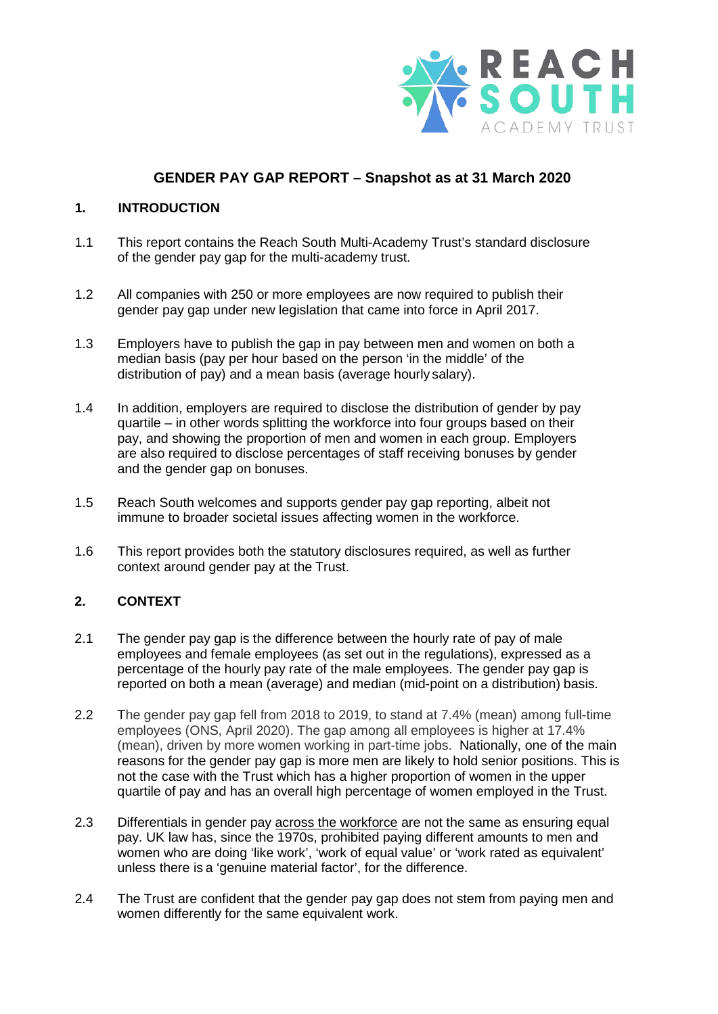

# **GENDER PAY GAP REPORT – Snapshot as at 31 March 2020**

### **1. INTRODUCTION**

- 1.1 This report contains the Reach South Multi-Academy Trust's standard disclosure of the gender pay gap for the multi-academy trust.
- 1.2 All companies with 250 or more employees are now required to publish their gender pay gap under new legislation that came into force in April 2017.
- 1.3 Employers have to publish the gap in pay between men and women on both a median basis (pay per hour based on the person 'in the middle' of the distribution of pay) and a mean basis (average hourly salary).
- 1.4 In addition, employers are required to disclose the distribution of gender by pay quartile – in other words splitting the workforce into four groups based on their pay, and showing the proportion of men and women in each group. Employers are also required to disclose percentages of staff receiving bonuses by gender and the gender gap on bonuses.
- 1.5 Reach South welcomes and supports gender pay gap reporting, albeit not immune to broader societal issues affecting women in the workforce.
- 1.6 This report provides both the statutory disclosures required, as well as further context around gender pay at the Trust.

## **2. CONTEXT**

- 2.1 The gender pay gap is the difference between the hourly rate of pay of male employees and female employees (as set out in the regulations), expressed as a percentage of the hourly pay rate of the male employees. The gender pay gap is reported on both a mean (average) and median (mid-point on a distribution) basis.
- 2.2 The gender pay gap fell from 2018 to 2019, to stand at 7.4% (mean) among full-time employees (ONS, April 2020). The gap among all employees is higher at 17.4% (mean), driven by more women working in part-time jobs. Nationally, one of the main reasons for the gender pay gap is more men are likely to hold senior positions. This is not the case with the Trust which has a higher proportion of women in the upper quartile of pay and has an overall high percentage of women employed in the Trust.
- 2.3 Differentials in gender pay across the workforce are not the same as ensuring equal pay. UK law has, since the 1970s, prohibited paying different amounts to men and women who are doing 'like work', 'work of equal value' or 'work rated as equivalent' unless there is a 'genuine material factor', for the difference.
- 2.4 The Trust are confident that the gender pay gap does not stem from paying men and women differently for the same equivalent work.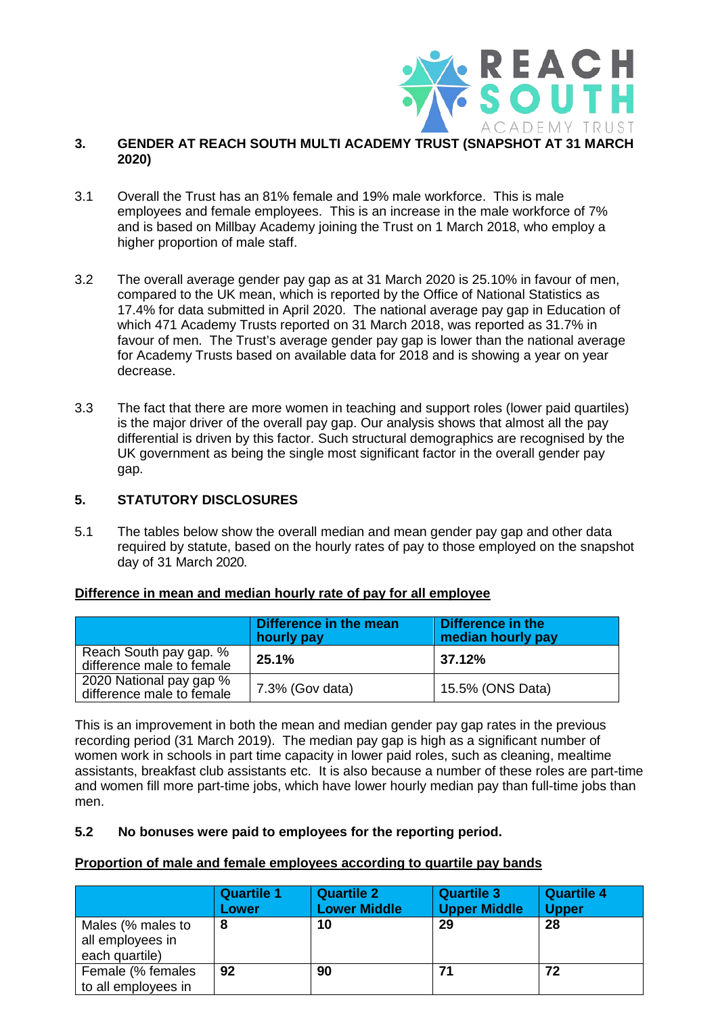

#### **3. GENDER AT REACH SOUTH MULTI ACADEMY TRUST (SNAPSHOT AT 31 MARCH 2020)**

- 3.1 Overall the Trust has an 81% female and 19% male workforce. This is male employees and female employees. This is an increase in the male workforce of 7% and is based on Millbay Academy joining the Trust on 1 March 2018, who employ a higher proportion of male staff.
- 3.2 The overall average gender pay gap as at 31 March 2020 is 25.10% in favour of men, compared to the UK mean, which is reported by the Office of National Statistics as 17.4% for data submitted in April 2020. The national average pay gap in Education of which 471 Academy Trusts reported on 31 March 2018, was reported as 31.7% in favour of men. The Trust's average gender pay gap is lower than the national average for Academy Trusts based on available data for 2018 and is showing a year on year decrease.
- 3.3 The fact that there are more women in teaching and support roles (lower paid quartiles) is the major driver of the overall pay gap. Our analysis shows that almost all the pay differential is driven by this factor. Such structural demographics are recognised by the UK government as being the single most significant factor in the overall gender pay gap.

### **5. STATUTORY DISCLOSURES**

5.1 The tables below show the overall median and mean gender pay gap and other data required by statute, based on the hourly rates of pay to those employed on the snapshot day of 31 March 2020.

#### **Difference in mean and median hourly rate of pay for all employee**

|                                                      | Difference in the mean<br>hourly pay | Difference in the<br>median hourly pay |
|------------------------------------------------------|--------------------------------------|----------------------------------------|
| Reach South pay gap. %<br>difference male to female  | 25.1%                                | 37.12%                                 |
| 2020 National pay gap %<br>difference male to female | 7.3% (Gov data)                      | 15.5% (ONS Data)                       |

This is an improvement in both the mean and median gender pay gap rates in the previous recording period (31 March 2019). The median pay gap is high as a significant number of women work in schools in part time capacity in lower paid roles, such as cleaning, mealtime assistants, breakfast club assistants etc. It is also because a number of these roles are part-time and women fill more part-time jobs, which have lower hourly median pay than full-time jobs than men.

#### **5.2 No bonuses were paid to employees for the reporting period.**

#### **Proportion of male and female employees according to quartile pay bands**

|                                                         | <b>Quartile 1</b><br>Lower | <b>Quartile 2</b><br><b>Lower Middle</b> | <b>Quartile 3</b><br><b>Upper Middle</b> | <b>Quartile 4</b><br><b>Upper</b> |
|---------------------------------------------------------|----------------------------|------------------------------------------|------------------------------------------|-----------------------------------|
| Males (% males to<br>all employees in<br>each quartile) | 8                          | 10                                       | 29                                       | 28                                |
| Female (% females<br>to all employees in                | 92                         | 90                                       | 71                                       | 72                                |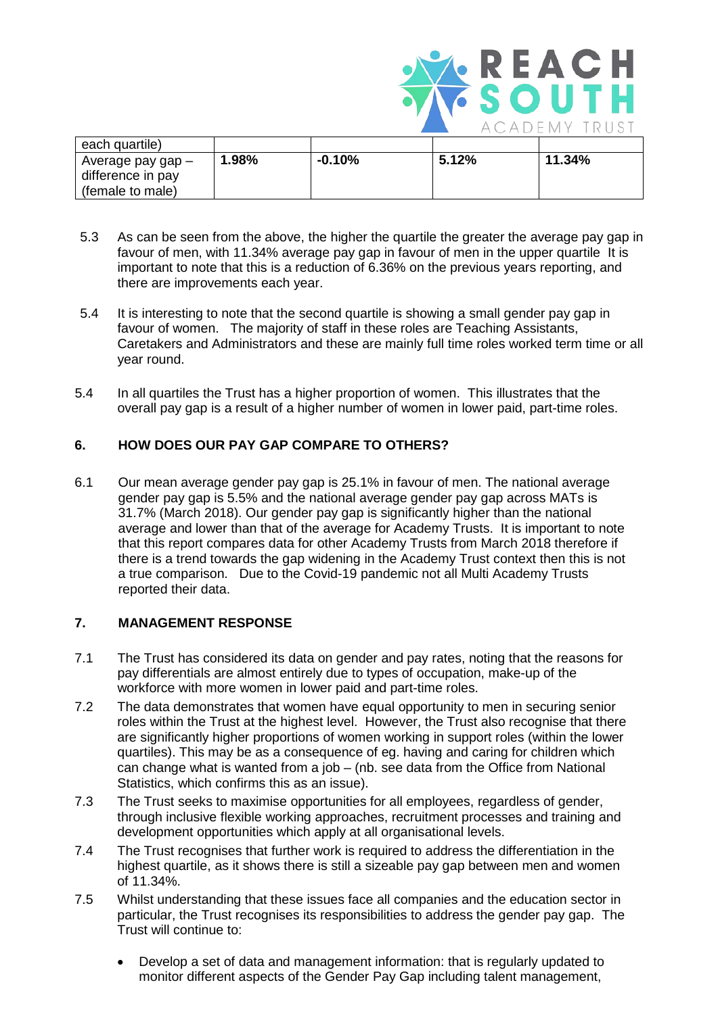

| each quartile)    |       |          |       |        |
|-------------------|-------|----------|-------|--------|
| Average pay gap – | 1.98% | $-0.10%$ | 5.12% | 11.34% |
| difference in pay |       |          |       |        |
| (female to male)  |       |          |       |        |

- 5.3 As can be seen from the above, the higher the quartile the greater the average pay gap in favour of men, with 11.34% average pay gap in favour of men in the upper quartile It is important to note that this is a reduction of 6.36% on the previous years reporting, and there are improvements each year.
- 5.4 It is interesting to note that the second quartile is showing a small gender pay gap in favour of women. The majority of staff in these roles are Teaching Assistants, Caretakers and Administrators and these are mainly full time roles worked term time or all year round.
- 5.4 In all quartiles the Trust has a higher proportion of women. This illustrates that the overall pay gap is a result of a higher number of women in lower paid, part-time roles.

# **6. HOW DOES OUR PAY GAP COMPARE TO OTHERS?**

6.1 Our mean average gender pay gap is 25.1% in favour of men. The national average gender pay gap is 5.5% and the national average gender pay gap across MATs is 31.7% (March 2018). Our gender pay gap is significantly higher than the national average and lower than that of the average for Academy Trusts. It is important to note that this report compares data for other Academy Trusts from March 2018 therefore if there is a trend towards the gap widening in the Academy Trust context then this is not a true comparison. Due to the Covid-19 pandemic not all Multi Academy Trusts reported their data.

## **7. MANAGEMENT RESPONSE**

- 7.1 The Trust has considered its data on gender and pay rates, noting that the reasons for pay differentials are almost entirely due to types of occupation, make-up of the workforce with more women in lower paid and part-time roles.
- 7.2 The data demonstrates that women have equal opportunity to men in securing senior roles within the Trust at the highest level. However, the Trust also recognise that there are significantly higher proportions of women working in support roles (within the lower quartiles). This may be as a consequence of eg. having and caring for children which can change what is wanted from a job – (nb. see data from the Office from National Statistics, which confirms this as an issue).
- 7.3 The Trust seeks to maximise opportunities for all employees, regardless of gender, through inclusive flexible working approaches, recruitment processes and training and development opportunities which apply at all organisational levels.
- 7.4 The Trust recognises that further work is required to address the differentiation in the highest quartile, as it shows there is still a sizeable pay gap between men and women of 11.34%.
- 7.5 Whilst understanding that these issues face all companies and the education sector in particular, the Trust recognises its responsibilities to address the gender pay gap. The Trust will continue to:
	- Develop a set of data and management information: that is regularly updated to monitor different aspects of the Gender Pay Gap including talent management,